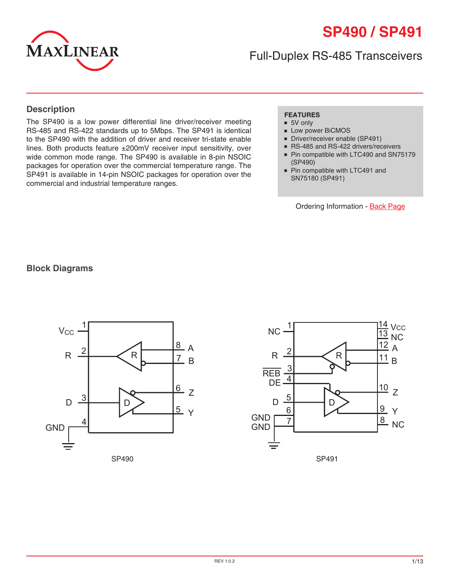# **SP490 / SP491**



Full-Duplex RS-485 Transceivers

#### **Description**

The SP490 is a low power differential line driver/receiver meeting RS-485 and RS-422 standards up to 5Mbps. The SP491 is identical to the SP490 with the addition of driver and receiver tri-state enable lines. Both products feature ±200mV receiver input sensitivity, over wide common mode range. The SP490 is available in 8-pin NSOIC packages for operation over the commercial temperature range. The SP491 is available in 14-pin NSOIC packages for operation over the commercial and industrial temperature ranges.

#### **FEATURES**

- 5V only
- Low power BiCMOS
- Driver/receiver enable (SP491)
- RS-485 and RS-422 drivers/receivers
- Pin compatible with LTC490 and SN75179 (SP490)
- Pin compatible with LTC491 and SN75180 (SP491)

Ordering Information - [Back Page](#page-12-0)

#### **Block Diagrams**



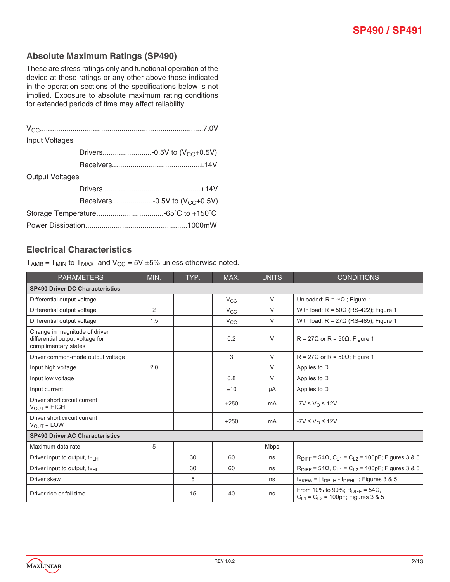#### **Absolute Maximum Ratings (SP490)**

These are stress ratings only and functional operation of the device at these ratings or any other above those indicated in the operation sections of the specifications below is not implied. Exposure to absolute maximum rating conditions for extended periods of time may affect reliability.

| Input Voltages         |  |                                           |  |  |  |
|------------------------|--|-------------------------------------------|--|--|--|
|                        |  | Drivers-0.5V to (V <sub>CC</sub> +0.5V)   |  |  |  |
|                        |  |                                           |  |  |  |
| <b>Output Voltages</b> |  |                                           |  |  |  |
|                        |  |                                           |  |  |  |
|                        |  | Receivers-0.5V to (V <sub>CC</sub> +0.5V) |  |  |  |
|                        |  |                                           |  |  |  |
|                        |  |                                           |  |  |  |

#### **Electrical Characteristics**

 $T_{AMB} = T_{MIN}$  to  $T_{MAX}$  and  $V_{CC} = 5V \pm 5\%$  unless otherwise noted.

| <b>PARAMETERS</b>                                                                        | MIN.           | TYP. | MAX.         | <b>UNITS</b> | <b>CONDITIONS</b>                                                                        |  |  |  |
|------------------------------------------------------------------------------------------|----------------|------|--------------|--------------|------------------------------------------------------------------------------------------|--|--|--|
| <b>SP490 Driver DC Characteristics</b>                                                   |                |      |              |              |                                                                                          |  |  |  |
| Differential output voltage                                                              |                |      | $V_{\rm CC}$ | $\vee$       | Unloaded; $R = \infty \Omega$ ; Figure 1                                                 |  |  |  |
| Differential output voltage                                                              | $\overline{2}$ |      | $V_{\rm CC}$ | V            | With load; $R = 50\Omega$ (RS-422); Figure 1                                             |  |  |  |
| Differential output voltage                                                              | 1.5            |      | $V_{\rm CC}$ | $\vee$       | With load; $R = 27\Omega$ (RS-485); Figure 1                                             |  |  |  |
| Change in magnitude of driver<br>differential output voltage for<br>complimentary states |                |      | 0.2          | V            | $R = 27\Omega$ or $R = 50\Omega$ ; Figure 1                                              |  |  |  |
| Driver common-mode output voltage                                                        |                |      | 3            | $\vee$       | $R = 27\Omega$ or R = 50 $\Omega$ ; Figure 1                                             |  |  |  |
| Input high voltage                                                                       | 2.0            |      |              | $\vee$       | Applies to D                                                                             |  |  |  |
| Input low voltage                                                                        |                |      | 0.8          | V            | Applies to D                                                                             |  |  |  |
| Input current                                                                            |                |      | ±10          | μA           | Applies to D                                                                             |  |  |  |
| Driver short circuit current<br>$V_{OUIT}$ = HIGH                                        |                |      | ±250         | mA           | $-YV \leq V_{\Omega} \leq 12V$                                                           |  |  |  |
| Driver short circuit current<br>$V_{OUT} = LOW$                                          |                |      | ±250         | mA           | $-7V \leq V_{\Omega} \leq 12V$                                                           |  |  |  |
| <b>SP490 Driver AC Characteristics</b>                                                   |                |      |              |              |                                                                                          |  |  |  |
| Maximum data rate                                                                        | 5              |      |              | <b>Mbps</b>  |                                                                                          |  |  |  |
| Driver input to output, $t_{PIH}$                                                        |                | 30   | 60           | ns           | $R_{\text{DIFF}} = 54 \Omega$ , $C_{L1} = C_{L2} = 100pF$ ; Figures 3 & 5                |  |  |  |
| Driver input to output, $t_{\text{PHI}}$                                                 |                | 30   | 60           | ns           | $R_{\text{DIFF}} = 54 \Omega$ , $C_{L1} = C_{L2} = 100pF$ ; Figures 3 & 5                |  |  |  |
| Driver skew                                                                              |                | 5    |              | ns           | $t_{SKEW}$ = $ t_{DPLH}$ - $t_{DPHL}$ $ $ ; Figures 3 & 5                                |  |  |  |
| Driver rise or fall time                                                                 |                | 15   | 40           | ns           | From 10% to 90%; R <sub>DIFF</sub> = 54Ω,<br>$C_{1,1} = C_{1,2} = 100pF$ ; Figures 3 & 5 |  |  |  |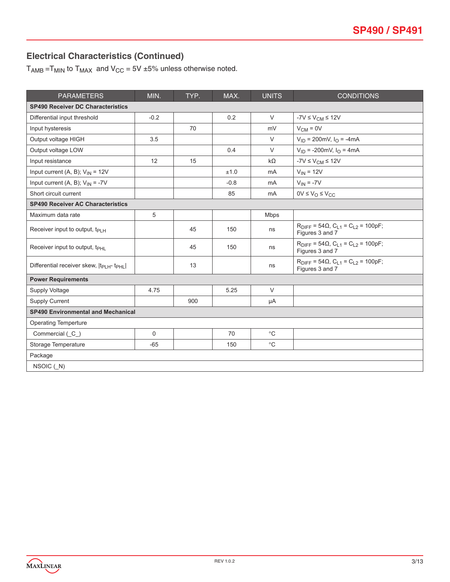## **Electrical Characteristics (Continued)**

 $T_{AMB}$  =T<sub>MIN</sub> to  $T_{MAX}$  and  $V_{CC}$  = 5V ±5% unless otherwise noted.

| <b>PARAMETERS</b>                                               | MIN.        | TYP. | MAX.   | <b>UNITS</b>   | <b>CONDITIONS</b>                                                             |
|-----------------------------------------------------------------|-------------|------|--------|----------------|-------------------------------------------------------------------------------|
| <b>SP490 Receiver DC Characteristics</b>                        |             |      |        |                |                                                                               |
| Differential input threshold                                    | $-0.2$      |      | 0.2    | $\vee$         | $-7V \leq V_{CM} \leq 12V$                                                    |
| Input hysteresis                                                |             | 70   |        | mV             | $V_{CM} = 0V$                                                                 |
| Output voltage HIGH                                             | 3.5         |      |        | $\vee$         | $V_{ID}$ = 200mV, $I_{O}$ = -4mA                                              |
| Output voltage LOW                                              |             |      | 0.4    | $\vee$         | $V_{ID}$ = -200mV, $I_{O}$ = 4mA                                              |
| Input resistance                                                | 12          | 15   |        | $k\Omega$      | $-7V \leq V_{CM} \leq 12V$                                                    |
| Input current (A, B); $V_{IN} = 12V$                            |             |      | ±1.0   | m <sub>A</sub> | $V_{IN} = 12V$                                                                |
| Input current (A, B); $V_{IN} = -7V$                            |             |      | $-0.8$ | mA             | $V_{IN} = -7V$                                                                |
| Short circuit current                                           |             |      | 85     | m <sub>A</sub> | $0V \leq V_O \leq V_{CC}$                                                     |
| <b>SP490 Receiver AC Characteristics</b>                        |             |      |        |                |                                                                               |
| Maximum data rate                                               | 5           |      |        | <b>Mbps</b>    |                                                                               |
| Receiver input to output, t <sub>PLH</sub>                      |             | 45   | 150    | ns             | $R_{\text{DIFF}} = 54\Omega$ , $C_{L1} = C_{L2} = 100pF$ ;<br>Figures 3 and 7 |
| Receiver input to output, t <sub>PHL</sub>                      |             | 45   | 150    | ns             | $R_{\text{DIFF}} = 54\Omega$ , $C_{L1} = C_{L2} = 100pF$ ;<br>Figures 3 and 7 |
| Differential receiver skew,  t <sub>PLH</sub> -t <sub>PHL</sub> |             | 13   |        | ns             | $R_{\text{DIFF}} = 54\Omega$ , $C_{L1} = C_{L2} = 100pF$ ;<br>Figures 3 and 7 |
| <b>Power Requirements</b>                                       |             |      |        |                |                                                                               |
| Supply Voltage                                                  | 4.75        |      | 5.25   | $\vee$         |                                                                               |
| Supply Current                                                  |             | 900  |        | μA             |                                                                               |
| <b>SP490 Environmental and Mechanical</b>                       |             |      |        |                |                                                                               |
| <b>Operating Temperture</b>                                     |             |      |        |                |                                                                               |
| Commercial (C_)                                                 | $\mathbf 0$ |      | 70     | $^{\circ}C$    |                                                                               |
| Storage Temperature                                             | $-65$       |      | 150    | $^{\circ}$ C   |                                                                               |
| Package                                                         |             |      |        |                |                                                                               |
| NSOIC (N)                                                       |             |      |        |                |                                                                               |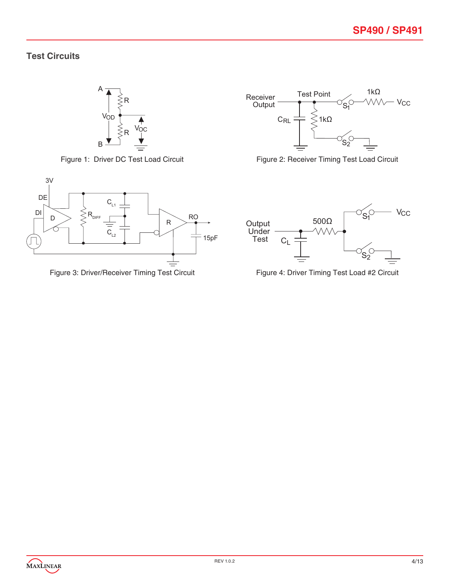#### **Test Circuits**







Figure 1: Driver DC Test Load Circuit Figure 2: Receiver Timing Test Load Circuit



Figure 3: Driver/Receiver Timing Test Circuit Figure 4: Driver Timing Test Load #2 Circuit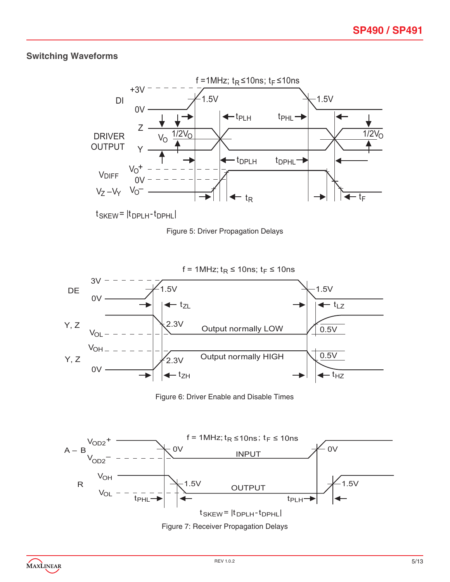### **Switching Waveforms**







Figure 6: Driver Enable and Disable Times



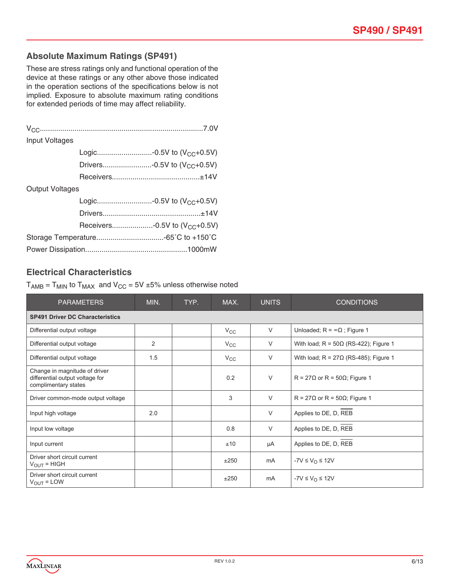#### **Absolute Maximum Ratings (SP491)**

These are stress ratings only and functional operation of the device at these ratings or any other above those indicated in the operation sections of the specifications below is not implied. Exposure to absolute maximum rating conditions for extended periods of time may affect reliability.

| <b>Input Voltages</b>  |                                           |
|------------------------|-------------------------------------------|
|                        | Logic-0.5V to (V <sub>CC</sub> +0.5V)     |
|                        | Drivers-0.5V to (V <sub>CC</sub> +0.5V)   |
|                        |                                           |
| <b>Output Voltages</b> |                                           |
|                        | Logic-0.5V to $(V_{CC}+0.5V)$             |
|                        |                                           |
|                        | Receivers-0.5V to (V <sub>CC</sub> +0.5V) |
|                        |                                           |
|                        |                                           |

#### **Electrical Characteristics**

 $T_{AMB} = T_{MIN}$  to  $T_{MAX}$  and  $V_{CC} = 5V \pm 5%$  unless otherwise noted

| <b>PARAMETERS</b>                                                                        | MIN. | TYP. | MAX.         | <b>UNITS</b> | <b>CONDITIONS</b>                            |  |  |  |
|------------------------------------------------------------------------------------------|------|------|--------------|--------------|----------------------------------------------|--|--|--|
| <b>SP491 Driver DC Characteristics</b>                                                   |      |      |              |              |                                              |  |  |  |
| Differential output voltage                                                              |      |      | $V_{\rm CC}$ | $\vee$       | Unloaded; $R = \infty \Omega$ ; Figure 1     |  |  |  |
| Differential output voltage                                                              | 2    |      | $V_{\rm CC}$ | V            | With load; $R = 50\Omega$ (RS-422); Figure 1 |  |  |  |
| Differential output voltage                                                              | 1.5  |      | $V_{\rm CC}$ | $\vee$       | With load; $R = 27\Omega$ (RS-485); Figure 1 |  |  |  |
| Change in magnitude of driver<br>differential output voltage for<br>complimentary states |      |      | 0.2          | $\vee$       | $R = 27\Omega$ or R = 50 $\Omega$ ; Figure 1 |  |  |  |
| Driver common-mode output voltage                                                        |      |      | 3            | $\vee$       | $R = 27\Omega$ or R = 50 $\Omega$ ; Figure 1 |  |  |  |
| Input high voltage                                                                       | 2.0  |      |              | $\vee$       | Applies to DE, D, REB                        |  |  |  |
| Input low voltage                                                                        |      |      | 0.8          | $\vee$       | Applies to DE, D, REB                        |  |  |  |
| Input current                                                                            |      |      | ±10          | μA           | Applies to DE, D, REB                        |  |  |  |
| Driver short circuit current<br>$V_{\text{OUT}}$ = HIGH                                  |      |      | ±250         | mA           | $-YV \leq V_{\Omega} \leq 12V$               |  |  |  |
| Driver short circuit current<br>$V_{OUT} = LOW$                                          |      |      | ±250         | mA           | $-YV \leq V_{\Omega} \leq 12V$               |  |  |  |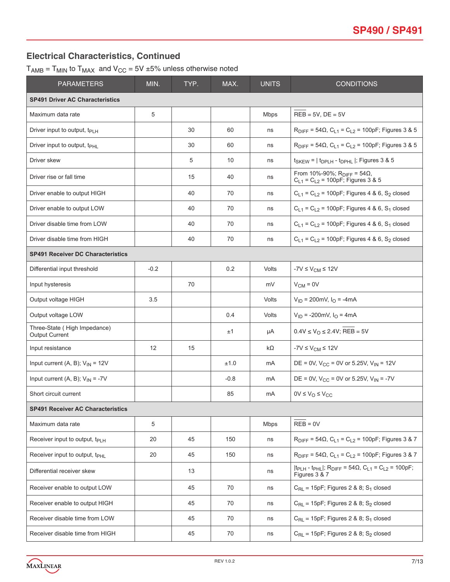#### **Electrical Characteristics, Continued**

 $T_{AMB} = T_{MIN}$  to  $T_{MAX}$  and  $V_{CC} = 5V \pm 5\%$  unless otherwise noted

| <b>PARAMETERS</b>                                     | MIN.   | TYP. | MAX.   | <b>UNITS</b> | <b>CONDITIONS</b>                                                                                                                   |  |  |
|-------------------------------------------------------|--------|------|--------|--------------|-------------------------------------------------------------------------------------------------------------------------------------|--|--|
| <b>SP491 Driver AC Characteristics</b>                |        |      |        |              |                                                                                                                                     |  |  |
| Maximum data rate                                     | 5      |      |        | <b>Mbps</b>  | $REB = 5V$ , $DE = 5V$                                                                                                              |  |  |
| Driver input to output, $t_{\text{PLH}}$              |        | 30   | 60     | ns           | $R_{\text{DIFF}} = 54\Omega$ , $C_{L1} = C_{L2} = 100pF$ ; Figures 3 & 5                                                            |  |  |
| Driver input to output, t <sub>PHL</sub>              |        | 30   | 60     | ns           | $R_{DIFF}$ = 54Ω, C <sub>L1</sub> = C <sub>L2</sub> = 100pF; Figures 3 & 5                                                          |  |  |
| Driver skew                                           |        | 5    | 10     | ns           | $t_{SKEW}$ = $ t_{DPLH}$ - $t_{DPHL}$ $ $ ; Figures 3 & 5                                                                           |  |  |
| Driver rise or fall time                              |        | 15   | 40     | ns           | From 10%-90%; $R_{DIFF} = 54Ω$ ,<br>$C_{L1} = C_{L2} = 100pF$ ; Figures 3 & 5                                                       |  |  |
| Driver enable to output HIGH                          |        | 40   | 70     | ns           | $C_{L1} = C_{L2} = 100pF$ ; Figures 4 & 6, S <sub>2</sub> closed                                                                    |  |  |
| Driver enable to output LOW                           |        | 40   | 70     | ns           | $C_{L1} = C_{L2} = 100pF$ ; Figures 4 & 6, S <sub>1</sub> closed                                                                    |  |  |
| Driver disable time from LOW                          |        | 40   | 70     | ns           | $C_{L1} = C_{L2} = 100pF$ ; Figures 4 & 6, S <sub>1</sub> closed                                                                    |  |  |
| Driver disable time from HIGH                         |        | 40   | 70     | ns           | $C_{L1} = C_{L2} = 100pF$ ; Figures 4 & 6, S <sub>2</sub> closed                                                                    |  |  |
| <b>SP491 Receiver DC Characteristics</b>              |        |      |        |              |                                                                                                                                     |  |  |
| Differential input threshold                          | $-0.2$ |      | 0.2    | Volts        | $-7V \leq V_{CM} \leq 12V$                                                                                                          |  |  |
| Input hysteresis                                      |        | 70   |        | mV           | $V_{CM} = 0V$                                                                                                                       |  |  |
| Output voltage HIGH                                   | 3.5    |      |        | Volts        | $V_{ID}$ = 200mV, $I_{O}$ = -4mA                                                                                                    |  |  |
| Output voltage LOW                                    |        |      | 0.4    | Volts        | $V_{ID}$ = -200mV, $I_{O}$ = 4mA                                                                                                    |  |  |
| Three-State (High Impedance)<br><b>Output Current</b> |        |      | ±1     | μA           | $0.4V \le V_O \le 2.4V$ ; REB = 5V                                                                                                  |  |  |
| Input resistance                                      | 12     | 15   |        | $k\Omega$    | $-7V \leq V_{CM} \leq 12V$                                                                                                          |  |  |
| Input current (A, B); $V_{IN} = 12V$                  |        |      | ±1.0   | mA           | DE = 0V, $V_{CC}$ = 0V or 5.25V, $V_{IN}$ = 12V                                                                                     |  |  |
| Input current (A, B); $V_{IN} = -7V$                  |        |      | $-0.8$ | mA           | DE = 0V, $V_{CC}$ = 0V or 5.25V, $V_{IN}$ = -7V                                                                                     |  |  |
| Short circuit current                                 |        |      | 85     | mA           | $0V \leq V_O \leq V_{CC}$                                                                                                           |  |  |
| <b>SP491 Receiver AC Characteristics</b>              |        |      |        |              |                                                                                                                                     |  |  |
| Maximum data rate                                     | 5      |      |        | Mbps         | $REB = 0V$                                                                                                                          |  |  |
| Receiver input to output, t <sub>PLH</sub>            | 20     | 45   | 150    | ns           | $R_{\text{DIFF}} = 54\Omega$ , $C_{L1} = C_{L2} = 100pF$ ; Figures 3 & 7                                                            |  |  |
| Receiver input to output, t <sub>PHL</sub>            | 20     | 45   | 150    | ns           | $R_{\text{DIFF}} = 54 \Omega$ , $C_{L1} = C_{L2} = 100pF$ ; Figures 3 & 7                                                           |  |  |
| Differential receiver skew                            |        | 13   |        | ns           | $ t_{\text{PLH}} - t_{\text{PHL}} $ ; R <sub>DIFF</sub> = 54 $\Omega$ , C <sub>L1</sub> = C <sub>L2</sub> = 100pF;<br>Figures 3 & 7 |  |  |
| Receiver enable to output LOW                         |        | 45   | 70     | ns           | $C_{RL}$ = 15pF; Figures 2 & 8; S <sub>1</sub> closed                                                                               |  |  |
| Receiver enable to output HIGH                        |        | 45   | 70     | ns           | $C_{RL}$ = 15pF; Figures 2 & 8; $S_2$ closed                                                                                        |  |  |
| Receiver disable time from LOW                        |        | 45   | 70     | ns           | $C_{RL}$ = 15pF; Figures 2 & 8; S <sub>1</sub> closed                                                                               |  |  |
| Receiver disable time from HIGH                       |        | 45   | 70     | ns           | $C_{RL}$ = 15pF; Figures 2 & 8; S <sub>2</sub> closed                                                                               |  |  |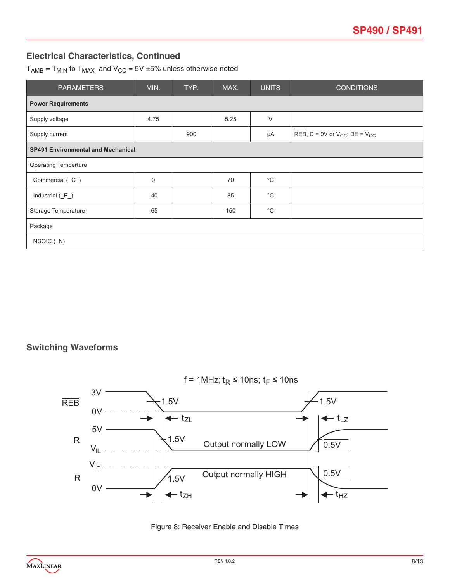## **Electrical Characteristics, Continued**

 $T_{AMB}$  =  $T_{MIN}$  to  $T_{MAX}$  and  $V_{CC}$  = 5V  $\pm$ 5% unless otherwise noted

| <b>PARAMETERS</b>           | MIN.                                      | TYP. | MAX. | <b>UNITS</b> | <b>CONDITIONS</b>                         |  |  |  |
|-----------------------------|-------------------------------------------|------|------|--------------|-------------------------------------------|--|--|--|
| <b>Power Requirements</b>   |                                           |      |      |              |                                           |  |  |  |
| Supply voltage              | 4.75                                      |      | 5.25 | $\vee$       |                                           |  |  |  |
| Supply current              |                                           | 900  |      | μA           | REB, $D = 0V$ or $V_{CC}$ ; $DE = V_{CC}$ |  |  |  |
|                             | <b>SP491 Environmental and Mechanical</b> |      |      |              |                                           |  |  |  |
| <b>Operating Temperture</b> |                                           |      |      |              |                                           |  |  |  |
| Commercial (C_)             | 0                                         |      | 70   | $^{\circ}C$  |                                           |  |  |  |
| Industrial $(E_$ )          | $-40$                                     |      | 85   | $^{\circ}C$  |                                           |  |  |  |
| Storage Temperature         | $-65$                                     |      | 150  | $^{\circ}C$  |                                           |  |  |  |
| Package                     |                                           |      |      |              |                                           |  |  |  |
| $NSOIC$ $(N)$               |                                           |      |      |              |                                           |  |  |  |

#### **Switching Waveforms**



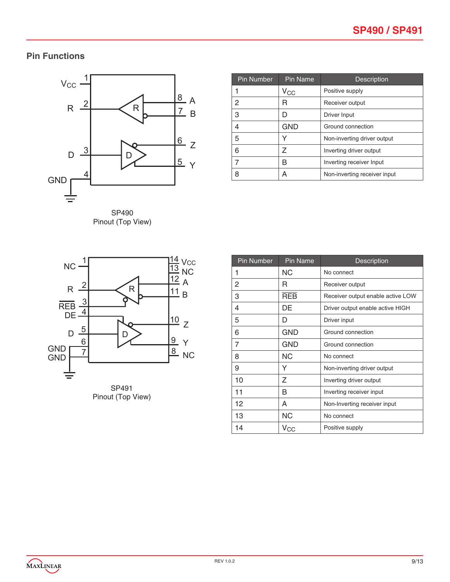# **Pin Functions**



SP490 Pinout (Top View)

| <b>Pin Number</b> | Pin Name     | Description                  |
|-------------------|--------------|------------------------------|
|                   | $V_{\rm CC}$ | Positive supply              |
| 2                 | R            | Receiver output              |
| 3                 | D            | Driver Input                 |
| 4                 | <b>GND</b>   | Ground connection            |
| 5                 |              | Non-inverting driver output  |
| 6                 | 7            | Inverting driver output      |
| 7                 | R            | Inverting receiver Input     |
| 8                 | А            | Non-inverting receiver input |





| <b>Pin Number</b> | <b>Pin Name</b> | <b>Description</b>                |
|-------------------|-----------------|-----------------------------------|
| 1                 | ΝC              | No connect                        |
| 2                 | R               | Receiver output                   |
| 3                 | <b>REB</b>      | Receiver output enable active LOW |
| 4                 | DE              | Driver output enable active HIGH  |
| 5                 | D               | Driver input                      |
| 6                 | GND             | Ground connection                 |
| 7                 | GND             | Ground connection                 |
| 8                 | ΝC              | No connect                        |
| 9                 | Y               | Non-inverting driver output       |
| 10                | Z               | Inverting driver output           |
| 11                | B               | Inverting receiver input          |
| 12                | A               | Non-Inverting receiver input      |
| 13                | ΝC              | No connect                        |
| 14                | $V_{\rm CC}$    | Positive supply                   |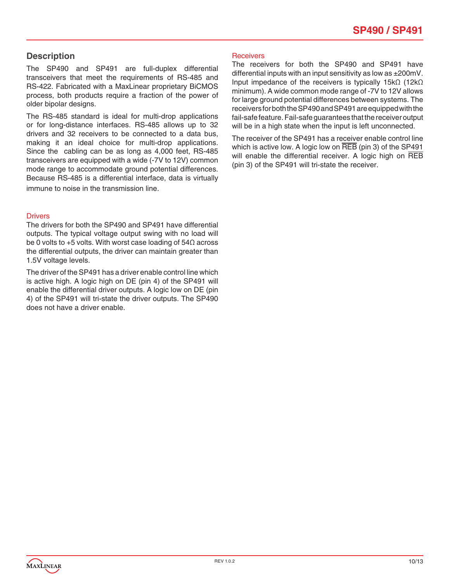#### **Description**

The SP490 and SP491 are full-duplex differential transceivers that meet the requirements of RS-485 and RS-422. Fabricated with a MaxLinear proprietary BiCMOS process, both products require a fraction of the power of older bipolar designs.

The RS-485 standard is ideal for multi-drop applications or for long-distance interfaces. RS-485 allows up to 32 drivers and 32 receivers to be connected to a data bus, making it an ideal choice for multi-drop applications. Since the cabling can be as long as 4,000 feet, RS-485 transceivers are equipped with a wide (-7V to 12V) common mode range to accommodate ground potential differences. Because RS-485 is a differential interface, data is virtually immune to noise in the transmission line.

#### **Drivers**

The drivers for both the SP490 and SP491 have differential outputs. The typical voltage output swing with no load will be 0 volts to +5 volts. With worst case loading of 54Ω across the differential outputs, the driver can maintain greater than 1.5V voltage levels.

The driver of the SP491 has a driver enable control line which is active high. A logic high on DE (pin 4) of the SP491 will enable the differential driver outputs. A logic low on DE (pin 4) of the SP491 will tri-state the driver outputs. The SP490 does not have a driver enable.

#### **Receivers**

The receivers for both the SP490 and SP491 have differential inputs with an input sensitivity as low as ±200mV. Input impedance of the receivers is typically 15kΩ (12kΩ minimum). A wide common mode range of -7V to 12V allows for large ground potential differences between systems. The receivers for both the SP490 and SP491 are equipped with the fail-safe feature. Fail-safe guarantees that the receiver output will be in a high state when the input is left unconnected.

The receiver of the SP491 has a receiver enable control line which is active low. A logic low on REB (pin 3) of the SP491 will enable the differential receiver. A logic high on REB (pin 3) of the SP491 will tri-state the receiver.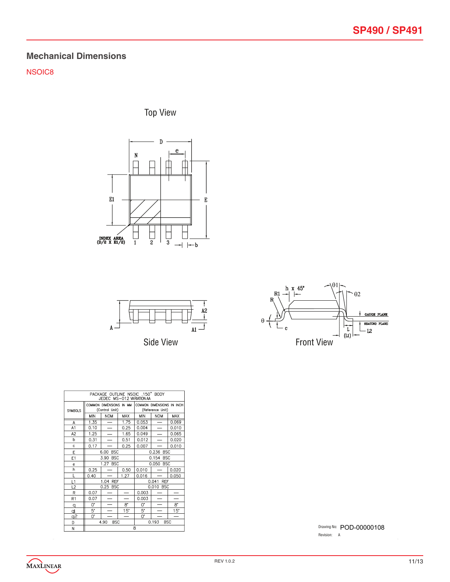# **Mechanical Dimensions**

NSOIC8

Top View







| PACKAGE OUTLINE NSOIC .150" BODY<br>JEDEC MS-012 VARIATION AA |      |                                           |                          |                                               |                          |            |
|---------------------------------------------------------------|------|-------------------------------------------|--------------------------|-----------------------------------------------|--------------------------|------------|
| <b>SYMBOLS</b>                                                |      | COMMON DIMENSIONS IN MM<br>(Control Unit) |                          | COMMON DIMENSIONS IN INCH<br>(Reference Unit) |                          |            |
|                                                               | MIN  | <b>NOM</b>                                | <b>MAX</b>               | <b>MIN</b>                                    | <b>NOM</b>               | <b>MAX</b> |
| A                                                             | 1.35 | —                                         | 1.75                     | 0.053                                         | $\overline{\phantom{0}}$ | 0.069      |
| A1                                                            | 0.10 | $\overline{\phantom{0}}$                  | 0.25                     | 0.004                                         |                          | 0.010      |
| A <sub>2</sub>                                                | 1.25 | $\overline{\phantom{0}}$                  | 1.65                     | 0.049                                         |                          | 0.065      |
| h                                                             | 0.31 | $\overline{\phantom{0}}$                  | 0.51                     | 0.012                                         |                          | 0.020      |
| Ċ                                                             | 0.17 |                                           | 0.25                     | 0.007                                         |                          | 0.010      |
| E                                                             |      | 6.00<br><b>BSC</b>                        |                          | 0.236 BSC                                     |                          |            |
| E1                                                            |      | 3.90<br><b>BSC</b>                        |                          | 0.154 BSC                                     |                          |            |
| e                                                             |      | 1.27<br><b>BSC</b>                        |                          | 0.050 BSC                                     |                          |            |
| h                                                             | 0.25 |                                           | 0.50                     | 0.010                                         |                          | 0.020      |
| Ĺ                                                             | 0.40 |                                           | 1.27                     | 0.016                                         |                          | 0.050      |
| L1                                                            |      | 1.04 REF                                  |                          | 0.041 REF                                     |                          |            |
| L2                                                            |      | 0.25 BSC                                  |                          |                                               | 0.010 BSC                |            |
| R                                                             | 0.07 |                                           |                          | 0.003                                         |                          |            |
| R1                                                            | 0.07 |                                           | $\overline{\phantom{a}}$ | 0.003                                         |                          |            |
| q                                                             | 0.   |                                           | 8.                       | 0.                                            |                          | 8.         |
| þ                                                             | 5.   |                                           | 15"                      | 5.                                            |                          | 15"        |
| <u>q2</u>                                                     | 0.   |                                           | $\overline{\phantom{0}}$ | 0.                                            |                          | -          |
| D                                                             |      | 4.90<br><b>BSC</b>                        |                          |                                               | 0.193                    | <b>BSC</b> |
| M                                                             | R    |                                           |                          |                                               |                          |            |

Drawing No: POD-00000108 Revision: A

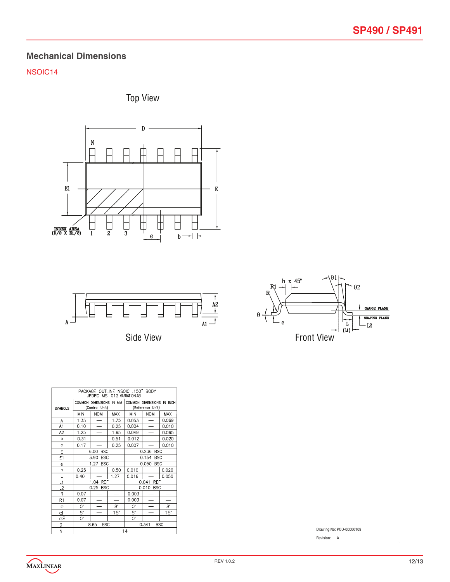### **Mechanical Dimensions**

#### NSOIC14







Side View



|                           | PACKAGE OUTLINE NSOIC .150" BODY<br>JEDEC MS-012 VARIATION AB |                                           |                          |                     |                                               |            |  |
|---------------------------|---------------------------------------------------------------|-------------------------------------------|--------------------------|---------------------|-----------------------------------------------|------------|--|
| <b>SYMBOLS</b>            |                                                               | COMMON DIMENSIONS IN MM<br>(Control Unit) |                          |                     | COMMON DIMENSIONS IN INCH<br>(Reference Unit) |            |  |
|                           | <b>MIN</b>                                                    | <b>NOM</b>                                | <b>MAX</b>               | <b>MIN</b>          | <b>NOM</b>                                    | <b>MAX</b> |  |
| A                         | 1.35                                                          | $\overline{\phantom{0}}$                  | 1.75                     | 0.053               |                                               | 0.069      |  |
| A <sub>1</sub>            | 0.10                                                          | $\overline{\phantom{0}}$                  | 0.25                     | 0.004               | $\overline{\phantom{0}}$                      | 0.010      |  |
| A <sub>2</sub>            | 1.25                                                          |                                           | 1.65                     | 0.049               |                                               | 0.065      |  |
| þ                         | 0.31                                                          |                                           | 0.51                     | 0.012               |                                               | 0.020      |  |
| Ċ                         | 0.17                                                          |                                           | 0.25                     | 0.007               |                                               | 0.010      |  |
| E                         |                                                               | 6.00<br><b>BSC</b>                        |                          | 0.236 BSC           |                                               |            |  |
| E1                        |                                                               | <b>BSC</b><br>3.90                        |                          | 0.154<br><b>BSC</b> |                                               |            |  |
| e                         |                                                               | <b>BSC</b><br>1.27                        |                          | 0.050<br><b>BSC</b> |                                               |            |  |
| h                         | 0.25                                                          |                                           | 0.50                     | 0.010               |                                               | 0.020      |  |
| L                         | 0.40                                                          |                                           | 1.27                     | 0.016               |                                               | 0.050      |  |
| L1                        |                                                               | 1.04 REF                                  |                          |                     | 0.041<br><b>REF</b>                           |            |  |
| L2                        |                                                               | 0.25 BSC                                  |                          |                     | 0.010 BSC                                     |            |  |
| R                         | 0.07                                                          |                                           |                          | 0.003               |                                               |            |  |
| R1                        | 0.07                                                          |                                           |                          | 0.003               |                                               |            |  |
| q                         | O.                                                            |                                           | $8^{\circ}$              | 0.                  |                                               | 8.         |  |
| d                         | 5.                                                            |                                           | 15"                      | 5.                  |                                               | 15"        |  |
| $\mathsf{S}_{\mathsf{E}}$ | 0.                                                            |                                           | $\overline{\phantom{0}}$ | 0.                  |                                               |            |  |
| D                         |                                                               | 8.65<br><b>BSC</b>                        |                          |                     | 0.341                                         | <b>BSC</b> |  |
| M                         | 11                                                            |                                           |                          |                     |                                               |            |  |

Drawing No: POD-00000109

Revision: A